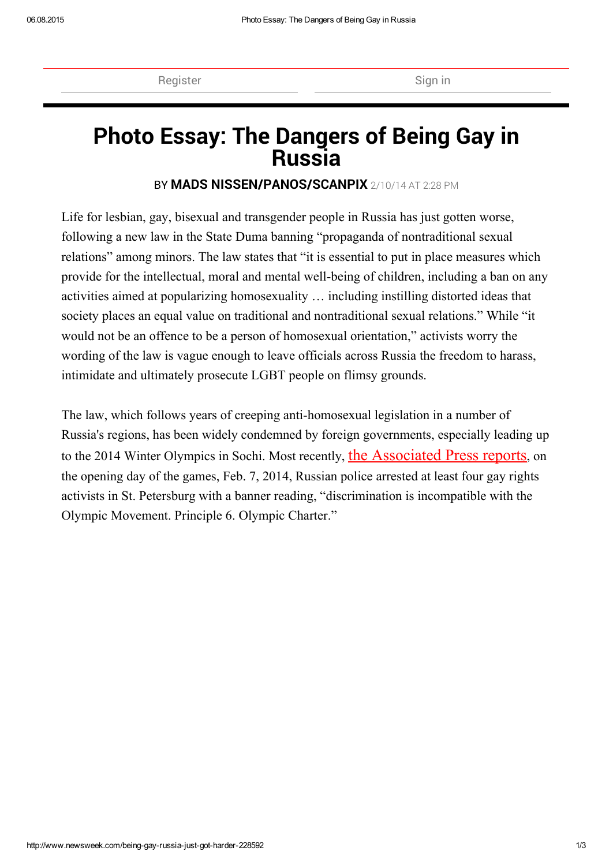[Register](http://www.newsweek.com/subscribe) Sign in the Sign in Sign in the Sign in Sign in Sign in Sign in Sign in Sign in Sign in Sign in Sign in Sign in Sign in Sign in Sign in Sign in Sign in Sign in Sign in Sign in Sign in Sign in Sign in Sign in Sign

# Photo [Essay:](http://r.turn.com/r/tpclick/id/~XJLbspFqVOwDJpTEUvM1c8UyiIY9A9xNvwoKjBuNXdu1GQtjRot_tawuDIJU4r9sXPAKu0-Opk7wIVeSgJxaPf-edmey_hXUgYcapmgLRA-HG1EtPBHhNad5OXoHrrl4VwseH-lMGpofAtX3R7hNPHV6AXzKIMz34prTxrRMrRLPIWX_Sinv_NjA8K88r-Fp2HdwQhJqlyc5BU_KlGWvbifuK2NLYufgRKNErz8pCEnF38mQ5mYTpB9/MNV--J0S5sWy_ewc9097m2Fr4gMrbQ0RmpJT_5E8Aqj846OxFHDMuSF9WCo1hleSm01HeUcarDltUhSURcBfjcruHQKKASdr-mtFgFfTYxoY8mtSBPzcVny2oagW2opb890uZNbBKKuTE4ULQM0DhzEIXizcdUHvbxMITnhWSaNDuEWHSvGmBbapOWj0Z6RoIOu6rmTGY_i5HJATLWAsJ7cp9wpOxAorRzjqqbFbYk2RDVYUuwdtGZAYif/U_8Wj6PxxMdeTYEMh2zNDwLnrU4bBhaPVggHicphYr7hIS89o8dSbliYe7ate-RtesO0EbiSb0XiV7C441hxHfAqTuKIEJLPczvlFU7sLhRjcGHMdDVUMPoKHEd8hUzq9DuV2Sx4_0B8V5vcb4qtaJ1zIQGNSZxve8lBt1CrGrwAOXohw1EA8bYaluuzlrkiScygQ8mx32t4RsvfeT1N0grBvF9szPo6OB57bXBexKjOzobBvgI31LsyzP/fvXeaod7hLOpZ3H0UFmgYKLzWEPJD1ZpyDHaPVdNMz_Oblc2K1F6VLvQQHb95S29PQdy1XYfRRRsFkpjEgJHJKfSIvZz5l5kx_bQwIN1Z-IMS6_TSCWSQwdprct6nJECqONPAcUfbmswfIykg5y75/3c/http%3A%2F%2Fox-d.ibt.servedbyopenx.com%2Fw%2F1.0%2Frc%3Fts%3D1fHJpZD1lNTM1YTFlMS1lODEwLTRhN2YtOTA0Zi1iNTMzMjBmMWNmNzF8cnQ9MTQzODg4NDcyOHxhdWlkPTUzNzk4MDM5M3xhdW09RE1JRC5XRUJ8c2lkPTUzNzE5NTA5NHxwdWI9NTM3MTEwMjk5fHBjPVVTRHx4dD1jb250cm9sLG11bHxyYWlkPWM3YjhhMDQ3LTljMzItNDk4Yi04ODM0LTM5MGFkN2VhZmFjMnxhaWQ9NTM3MTUzMjYyfHQ9MTJ8YXM9MzAweDI1MHxsaWQ9NTM3MTIyNzI4fG9pZD01MzcwOTYzMDd8cD0xMTQwfHByPTkwOHxhZHY9NTM3MDczMjk0fGFjPVVTRHxwbT1QUklDSU5HLkNQTXxtPTF8YWk9MTUyZDA3YjEtZGE0MS00YzQwLWFkMTgtZmU3NGMyNjk1MzRhfG1jPVVTRHxtcj0yMzJ8cGk9OTA4fG11aT1kYWNkMGRhOS02ZTNmLTQyNWUtZTY5Yi1hOTNlZWI4ODI5MTV8bWE9NzIxZTIwN2MtZGQ0Zi00MDUyLWIxN2EtNWY4MjZmZjE4OWZkfG1ydD0xNDM4ODg0NzI4fG1yYz1TUlRfV09OfG13YT01MzcwNzMyOTR8Y2s9MXxtd2JpPTI0NjR8bXdiPTEyNzd8bWFwPTExNDB8ZWxnPTF8bW9jPVVTRHxtb3I9MjMyfG1wYz1VU0R8bXByPTkwOHxtcGY9NjUwfG1tZj02NTB8bXBuZj02NTB8bW1uZj02NTB8cGN2PTI4fG1vPU9YfGVjPTE2MDE4MDk4MDh8bXB1PTkwOHxtY3A9MTE0MHxtd2M9NTM3MDk2MzA3fG13cD01MzcxMjI3Mjh8bXdjcj01MzcxNTMyNjJ8bXdpcz0xfG13cHQ9b3BlbnJ0Yl9qc29ufHVyPWc4ZVpIYlZWN3c%26r%3D/url/http%3A%2F%2Fru.hotels.com%2Fpredlozsheniya%2Fru-marriott-global%2F%3Fpos%3DHCOM_RU%26locale%3Dru_RU) The Dangers of Being Gay in Russia

## BY MADS [NISSEN/PANOS/SCANPIX](http://www.newsweek.com/authors/mads-nissenpanos) 2/10/14 AT 2:28 PM

Life for lesbian, gay, bisexual and transgender people in Russia has just gotten worse, following a new law in the State Duma banning "propaganda of nontraditional sexual relations" among minors. The law states that "it is essential to put in place measures which provide for the intellectual, moral and mental well-being of children, including a ban on any activities aimed at popularizing homosexuality … including instilling distorted ideas that society places an equal value on traditional and nontraditional sexual relations." While "it would not be an offence to be a person of homosexual orientation," activists worry the wording of the law is vague enough to leave officials across Russia the freedom to harass, intimidate and ultimately prosecute LGBT people on flimsy grounds.

The law, which follows years of creeping anti-homosexual legislation in a number of Russia's regions, has been widely condemned by foreign governments, especially leading up to the 2014 Winter Olympics in Sochi. Most recently, the [Associated](http://news.yahoo.com/4-gay-rights-activists-arrested-st-petersburg-150328494.html) Press reports, on the opening day of the games, Feb. 7, 2014, Russian police arrested at least four gay rights activists in St. Petersburg with a banner reading, "discrimination is incompatible with the Olympic Movement. Principle 6. Olympic Charter."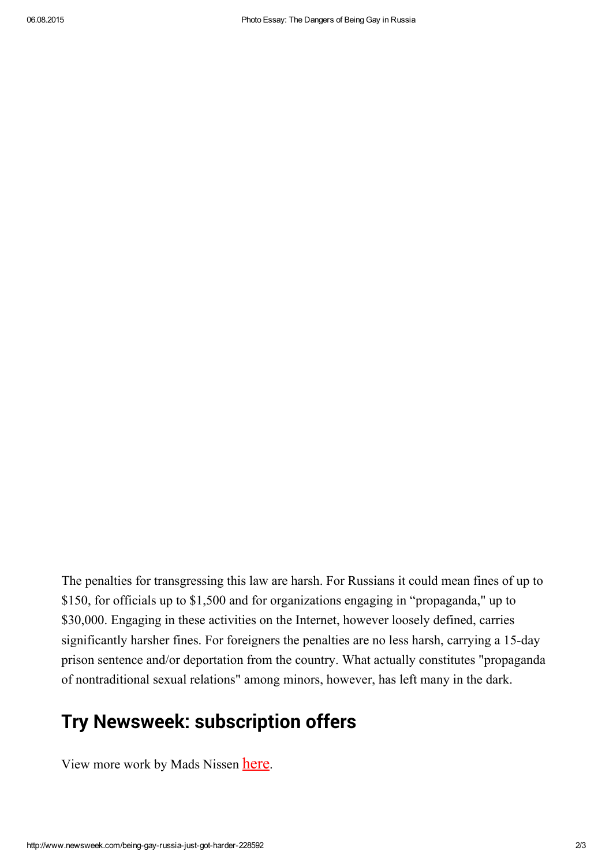The penalties for transgressing this law are harsh. For Russians it could mean fines of up to \$150, for officials up to \$1,500 and for organizations engaging in "propaganda," up to \$30,000. Engaging in these activities on the Internet, however loosely defined, carries significantly harsher fines. For foreigners the penalties are no less harsh, carrying a 15-day prison sentence and/or deportation from the country. What actually constitutes "propaganda of nontraditional sexual relations" among minors, however, has left many in the dark.

## Try Newsweek: [subscription](http://www.newsweek.com/subscribe) offers

View more work by Mads Nissen [here](http://www.madsnissen.com/).